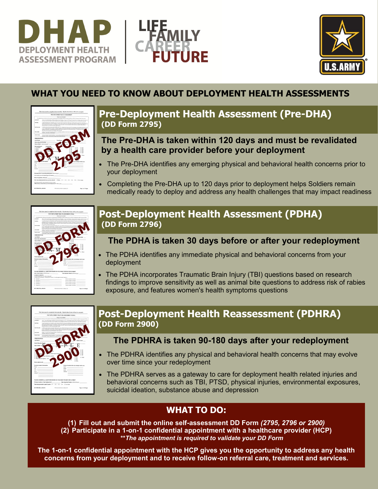





# **WHAT YOU NEED TO KNOW ABOUT DEPLOYMENT HEALTH ASSESSMENTS**



# **Pre-Deployment Health Assessment (Pre-DHA) (DD Form 2795)**

### **The Pre-DHA is taken within 120 days and must be revalidated by a health care provider before your deployment**

- The Pre-DHA identifies any emerging physical and behavioral health concerns prior to your deployment
- Completing the Pre-DHA up to 120 days prior to deployment helps Soldiers remain medically ready to deploy and address any health challenges that may impact readiness



# **Post-Deployment Health Assessment (PDHA) (DD Form 2796)**

## **The PDHA is taken 30 days before or after your redeployment**

- The PDHA identifies any immediate physical and behavioral concerns from your deployment
- The PDHA incorporates Traumatic Brain Injury (TBI) questions based on research findings to improve sensitivity as well as animal bite questions to address risk of rabies exposure, and features women's health symptoms questions



# **Post-Deployment Health Reassessment (PDHRA) (DD Form 2900)**

## **The PDHRA is taken 90-180 days after your redeployment**

- The PDHRA identifies any physical and behavioral health concerns that may evolve over time since your redeployment
- The PDHRA serves as a gateway to care for deployment health related injuries and behavioral concerns such as TBI, PTSD, physical injuries, environmental exposures, suicidal ideation, substance abuse and depression

# **WHAT TO DO:**

**(1) Fill out and submit the online self-assessment DD Form** *(2795, 2796 or 2900)* **(2) Participate in a 1-on-1 confidential appointment with a healthcare provider (HCP) \*\****The appointment is required to validate your DD Form*

**The 1-on-1 confidential appointment with the HCP gives you the opportunity to address any health concerns from your deployment and to receive follow-on referral care, treatment and services.**